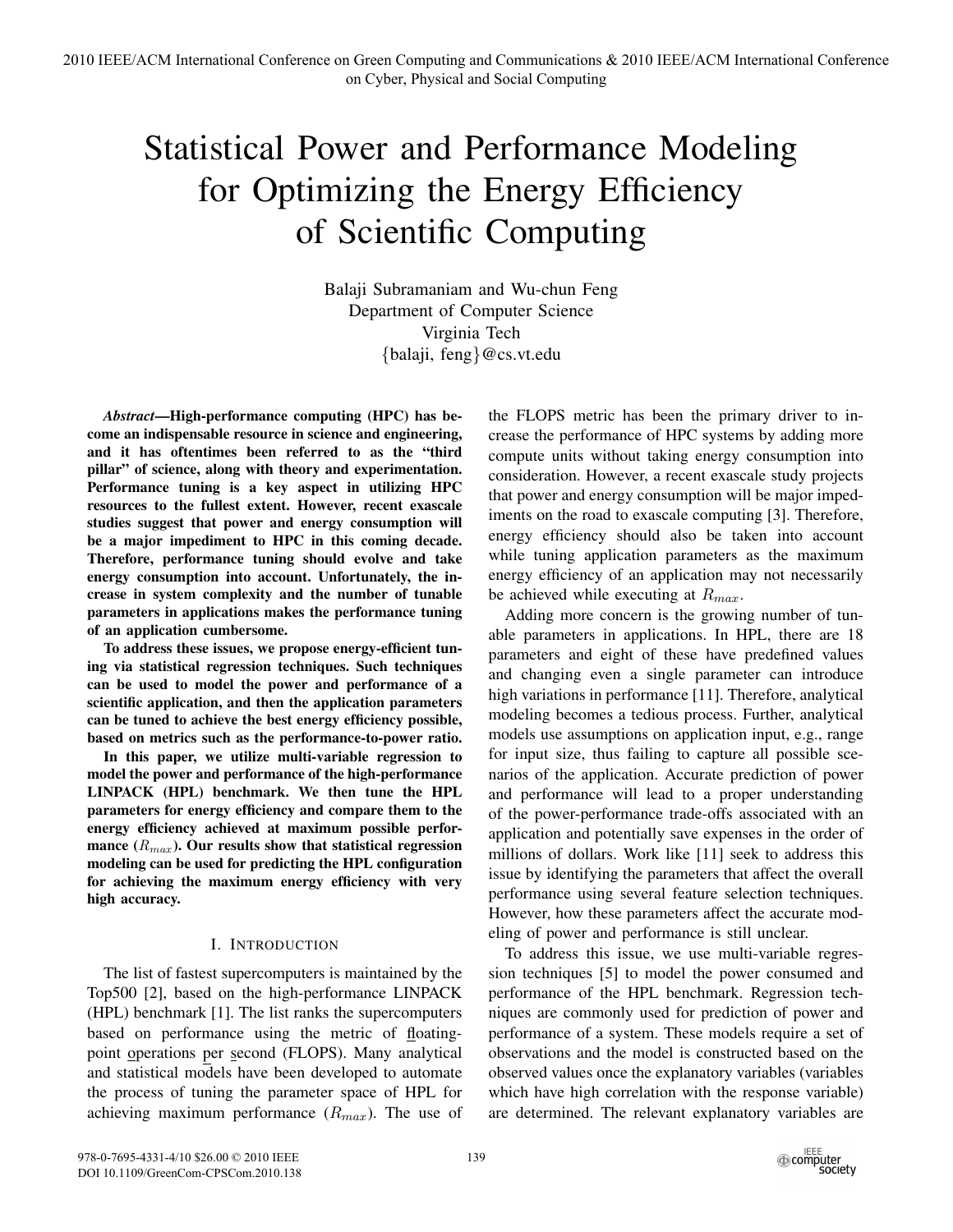# Statistical Power and Performance Modeling for Optimizing the Energy Efficiency of Scientific Computing

Balaji Subramaniam and Wu-chun Feng Department of Computer Science Virginia Tech {balaji, feng}@cs.vt.edu

*Abstract*—High-performance computing (HPC) has become an indispensable resource in science and engineering, and it has oftentimes been referred to as the "third pillar" of science, along with theory and experimentation. Performance tuning is a key aspect in utilizing HPC resources to the fullest extent. However, recent exascale studies suggest that power and energy consumption will be a major impediment to HPC in this coming decade. Therefore, performance tuning should evolve and take energy consumption into account. Unfortunately, the increase in system complexity and the number of tunable parameters in applications makes the performance tuning of an application cumbersome.

To address these issues, we propose energy-efficient tuning via statistical regression techniques. Such techniques can be used to model the power and performance of a scientific application, and then the application parameters can be tuned to achieve the best energy efficiency possible, based on metrics such as the performance-to-power ratio.

In this paper, we utilize multi-variable regression to model the power and performance of the high-performance LINPACK (HPL) benchmark. We then tune the HPL parameters for energy efficiency and compare them to the energy efficiency achieved at maximum possible performance  $(R_{max})$ . Our results show that statistical regression modeling can be used for predicting the HPL configuration for achieving the maximum energy efficiency with very high accuracy.

# I. INTRODUCTION

The list of fastest supercomputers is maintained by the Top500 [2], based on the high-performance LINPACK (HPL) benchmark [1]. The list ranks the supercomputers based on performance using the metric of floatingpoint operations per second (FLOPS). Many analytical and statistical models have been developed to automate the process of tuning the parameter space of HPL for achieving maximum performance  $(R_{max})$ . The use of

the FLOPS metric has been the primary driver to increase the performance of HPC systems by adding more compute units without taking energy consumption into consideration. However, a recent exascale study projects that power and energy consumption will be major impediments on the road to exascale computing [3]. Therefore, energy efficiency should also be taken into account while tuning application parameters as the maximum energy efficiency of an application may not necessarily be achieved while executing at  $R_{max}$ .

Adding more concern is the growing number of tunable parameters in applications. In HPL, there are 18 parameters and eight of these have predefined values and changing even a single parameter can introduce high variations in performance [11]. Therefore, analytical modeling becomes a tedious process. Further, analytical models use assumptions on application input, e.g., range for input size, thus failing to capture all possible scenarios of the application. Accurate prediction of power and performance will lead to a proper understanding of the power-performance trade-offs associated with an application and potentially save expenses in the order of millions of dollars. Work like [11] seek to address this issue by identifying the parameters that affect the overall performance using several feature selection techniques. However, how these parameters affect the accurate modeling of power and performance is still unclear.

To address this issue, we use multi-variable regression techniques [5] to model the power consumed and performance of the HPL benchmark. Regression techniques are commonly used for prediction of power and performance of a system. These models require a set of observations and the model is constructed based on the observed values once the explanatory variables (variables which have high correlation with the response variable) are determined. The relevant explanatory variables are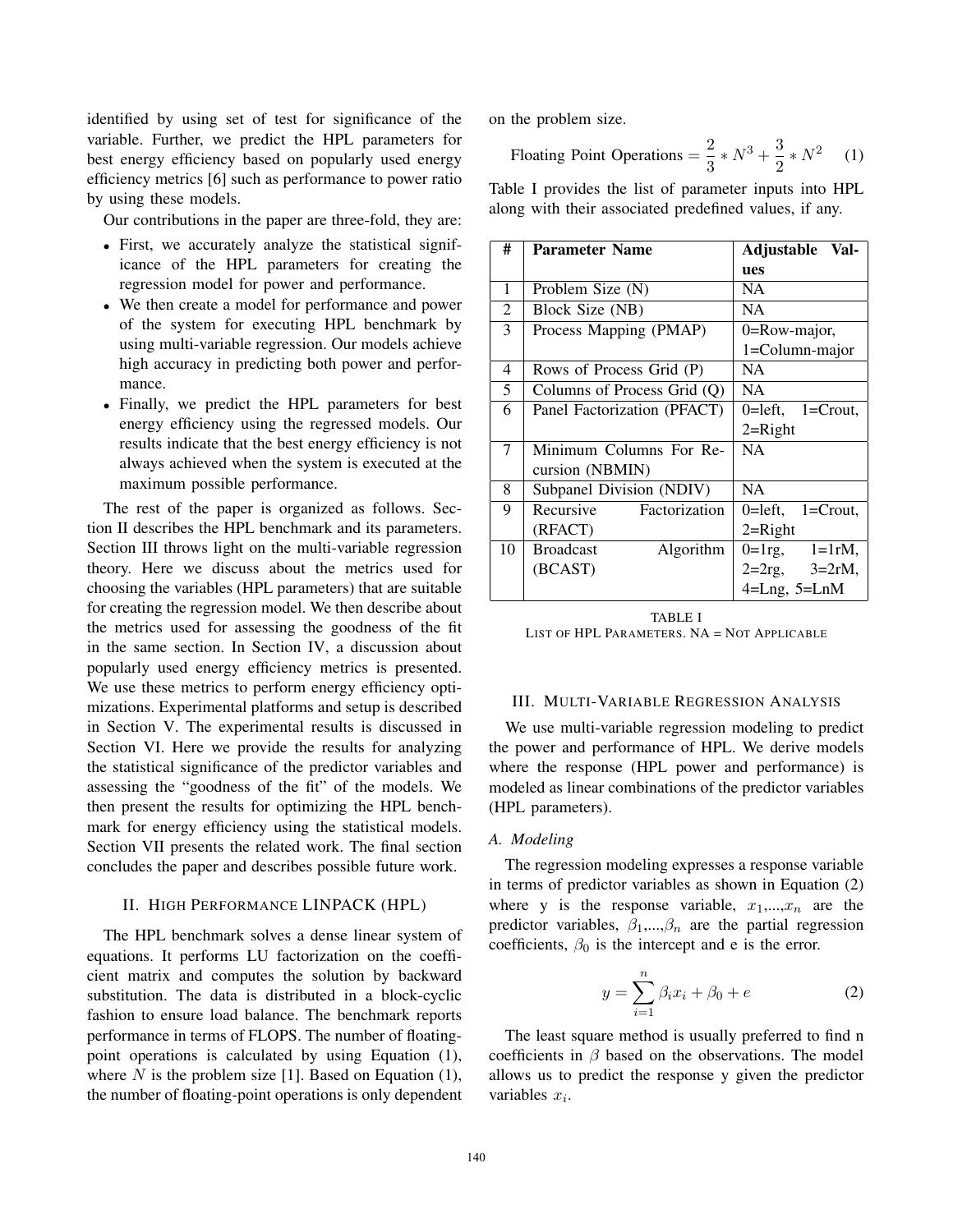identified by using set of test for significance of the variable. Further, we predict the HPL parameters for best energy efficiency based on popularly used energy efficiency metrics [6] such as performance to power ratio by using these models.

Our contributions in the paper are three-fold, they are:

- First, we accurately analyze the statistical significance of the HPL parameters for creating the regression model for power and performance.
- We then create a model for performance and power of the system for executing HPL benchmark by using multi-variable regression. Our models achieve high accuracy in predicting both power and performance.
- Finally, we predict the HPL parameters for best energy efficiency using the regressed models. Our results indicate that the best energy efficiency is not always achieved when the system is executed at the maximum possible performance.

The rest of the paper is organized as follows. Section II describes the HPL benchmark and its parameters. Section III throws light on the multi-variable regression theory. Here we discuss about the metrics used for choosing the variables (HPL parameters) that are suitable for creating the regression model. We then describe about the metrics used for assessing the goodness of the fit in the same section. In Section IV, a discussion about popularly used energy efficiency metrics is presented. We use these metrics to perform energy efficiency optimizations. Experimental platforms and setup is described in Section V. The experimental results is discussed in Section VI. Here we provide the results for analyzing the statistical significance of the predictor variables and assessing the "goodness of the fit" of the models. We then present the results for optimizing the HPL benchmark for energy efficiency using the statistical models. Section VII presents the related work. The final section concludes the paper and describes possible future work.

# II. HIGH PERFORMANCE LINPACK (HPL)

The HPL benchmark solves a dense linear system of equations. It performs LU factorization on the coefficient matrix and computes the solution by backward substitution. The data is distributed in a block-cyclic fashion to ensure load balance. The benchmark reports performance in terms of FLOPS. The number of floatingpoint operations is calculated by using Equation (1), where N is the problem size [1]. Based on Equation (1), the number of floating-point operations is only dependent on the problem size.

$$
\text{Floating Point Operations} = \frac{2}{3} \cdot N^3 + \frac{3}{2} \cdot N^2 \quad (1)
$$

Table I provides the list of parameter inputs into HPL along with their associated predefined values, if any.

| #              | <b>Parameter Name</b>         | Adjustable Val-        |
|----------------|-------------------------------|------------------------|
|                |                               | <b>ues</b>             |
| 1              | Problem Size (N)              | NA.                    |
| $\overline{2}$ | Block Size (NB)               | NA                     |
| 3              | Process Mapping (PMAP)        | $0 = Row-major,$       |
|                |                               | 1=Column-major         |
| 4              | Rows of Process Grid (P)      | NA.                    |
| 5              | Columns of Process Grid $(Q)$ | NA.                    |
| 6              | Panel Factorization (PFACT)   | $0 = left, 1 = Crout,$ |
|                |                               | $2 =$ Right            |
| 7              | Minimum Columns For Re-       | NA.                    |
|                | cursion (NBMIN)               |                        |
| 8              | Subpanel Division (NDIV)      | NA                     |
| 9              | Recursive<br>Factorization    | $0 = left, 1 = Crout,$ |
|                | (RFACT)                       | $2 =$ Right            |
| 10             | <b>Broadcast</b><br>Algorithm | $0=1$ rg, $1=1rM$ ,    |
|                | (BCAST)                       | $2=2rg$ , $3=2rM$ ,    |
|                |                               | $4 = Lng$ , $5 = LnM$  |

TABLE I LIST OF HPL PARAMETERS. NA = NOT APPLICABLE

#### III. MULTI-VARIABLE REGRESSION ANALYSIS

We use multi-variable regression modeling to predict the power and performance of HPL. We derive models where the response (HPL power and performance) is modeled as linear combinations of the predictor variables (HPL parameters).

## *A. Modeling*

The regression modeling expresses a response variable in terms of predictor variables as shown in Equation (2) where y is the response variable,  $x_1,...,x_n$  are the predictor variables,  $\beta_1,...,\beta_n$  are the partial regression coefficients,  $\beta_0$  is the intercept and e is the error.

$$
y = \sum_{i=1}^{n} \beta_i x_i + \beta_0 + e \tag{2}
$$

The least square method is usually preferred to find n coefficients in  $\beta$  based on the observations. The model allows us to predict the response y given the predictor variables  $x_i$ .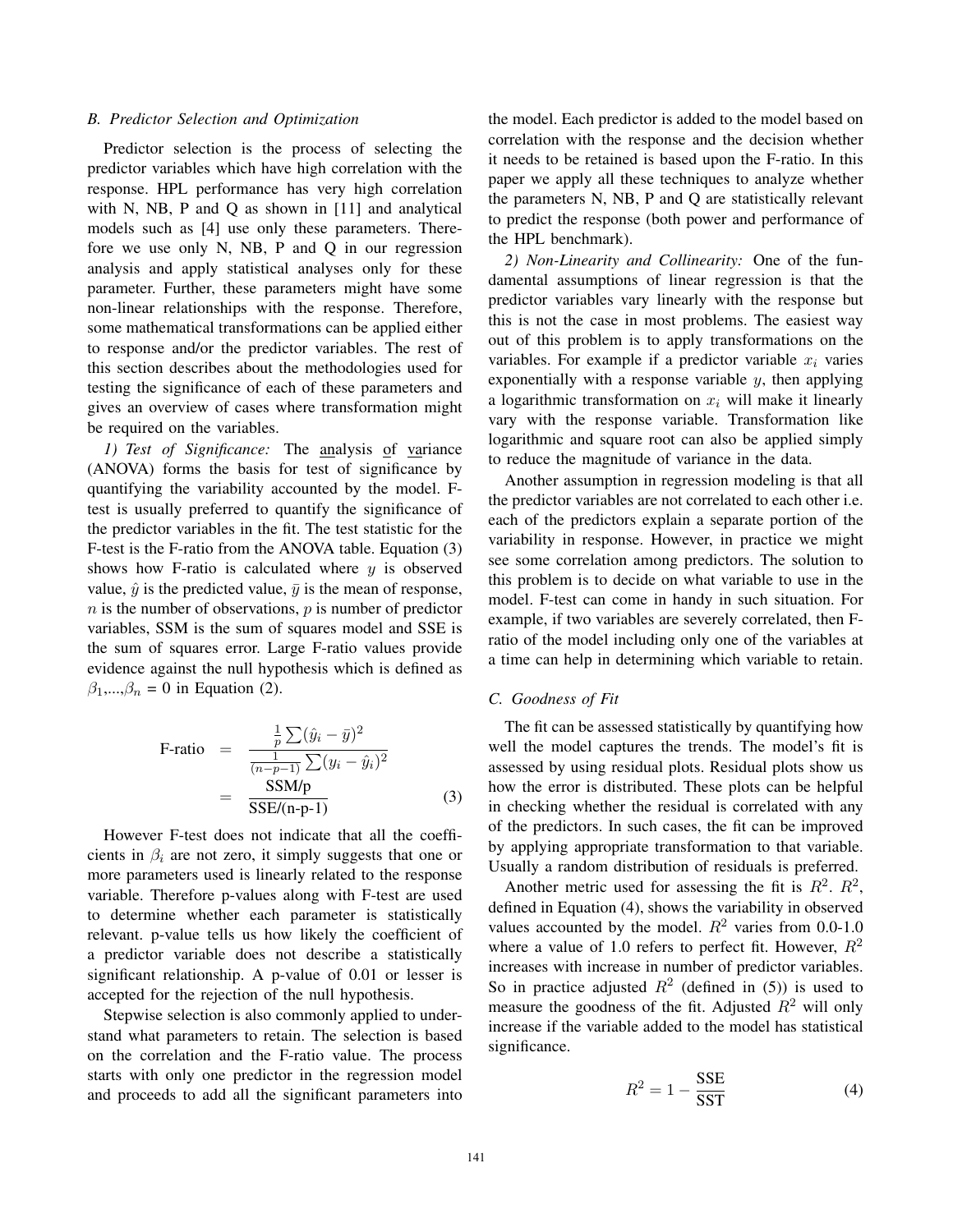## *B. Predictor Selection and Optimization*

Predictor selection is the process of selecting the predictor variables which have high correlation with the response. HPL performance has very high correlation with N, NB, P and O as shown in [11] and analytical models such as [4] use only these parameters. Therefore we use only N, NB, P and Q in our regression analysis and apply statistical analyses only for these parameter. Further, these parameters might have some non-linear relationships with the response. Therefore, some mathematical transformations can be applied either to response and/or the predictor variables. The rest of this section describes about the methodologies used for testing the significance of each of these parameters and gives an overview of cases where transformation might be required on the variables.

*1) Test of Significance:* The analysis of variance (ANOVA) forms the basis for test of significance by quantifying the variability accounted by the model. Ftest is usually preferred to quantify the significance of the predictor variables in the fit. The test statistic for the F-test is the F-ratio from the ANOVA table. Equation (3) shows how F-ratio is calculated where  $y$  is observed value,  $\hat{y}$  is the predicted value,  $\bar{y}$  is the mean of response,  $n$  is the number of observations,  $p$  is number of predictor variables, SSM is the sum of squares model and SSE is the sum of squares error. Large F-ratio values provide evidence against the null hypothesis which is defined as  $\beta_1,...,\beta_n = 0$  in Equation (2).

F-ratio = 
$$
\frac{\frac{1}{p}\sum(\hat{y}_i - \bar{y})^2}{\frac{1}{(n-p-1)}\sum(y_i - \hat{y}_i)^2}
$$
  
= 
$$
\frac{\text{SSM/p}}{\text{SSE/(n-p-1)}}
$$
(3)

However F-test does not indicate that all the coefficients in  $\beta_i$  are not zero, it simply suggests that one or more parameters used is linearly related to the response variable. Therefore p-values along with F-test are used to determine whether each parameter is statistically relevant. p-value tells us how likely the coefficient of a predictor variable does not describe a statistically significant relationship. A p-value of 0.01 or lesser is accepted for the rejection of the null hypothesis.

Stepwise selection is also commonly applied to understand what parameters to retain. The selection is based on the correlation and the F-ratio value. The process starts with only one predictor in the regression model and proceeds to add all the significant parameters into the model. Each predictor is added to the model based on correlation with the response and the decision whether it needs to be retained is based upon the F-ratio. In this paper we apply all these techniques to analyze whether the parameters N, NB, P and Q are statistically relevant to predict the response (both power and performance of the HPL benchmark).

*2) Non-Linearity and Collinearity:* One of the fundamental assumptions of linear regression is that the predictor variables vary linearly with the response but this is not the case in most problems. The easiest way out of this problem is to apply transformations on the variables. For example if a predictor variable  $x_i$  varies exponentially with a response variable  $y$ , then applying a logarithmic transformation on  $x_i$  will make it linearly vary with the response variable. Transformation like logarithmic and square root can also be applied simply to reduce the magnitude of variance in the data.

Another assumption in regression modeling is that all the predictor variables are not correlated to each other i.e. each of the predictors explain a separate portion of the variability in response. However, in practice we might see some correlation among predictors. The solution to this problem is to decide on what variable to use in the model. F-test can come in handy in such situation. For example, if two variables are severely correlated, then Fratio of the model including only one of the variables at a time can help in determining which variable to retain.

### *C. Goodness of Fit*

The fit can be assessed statistically by quantifying how well the model captures the trends. The model's fit is assessed by using residual plots. Residual plots show us how the error is distributed. These plots can be helpful in checking whether the residual is correlated with any of the predictors. In such cases, the fit can be improved by applying appropriate transformation to that variable. Usually a random distribution of residuals is preferred.

Another metric used for assessing the fit is  $R^2$ .  $R^2$ , defined in Equation (4), shows the variability in observed values accounted by the model.  $R^2$  varies from 0.0-1.0 where a value of 1.0 refers to perfect fit. However,  $R^2$ increases with increase in number of predictor variables. So in practice adjusted  $R^2$  (defined in (5)) is used to measure the goodness of the fit. Adjusted  $R^2$  will only increase if the variable added to the model has statistical significance.

$$
R^2 = 1 - \frac{\text{SSE}}{\text{SST}}\tag{4}
$$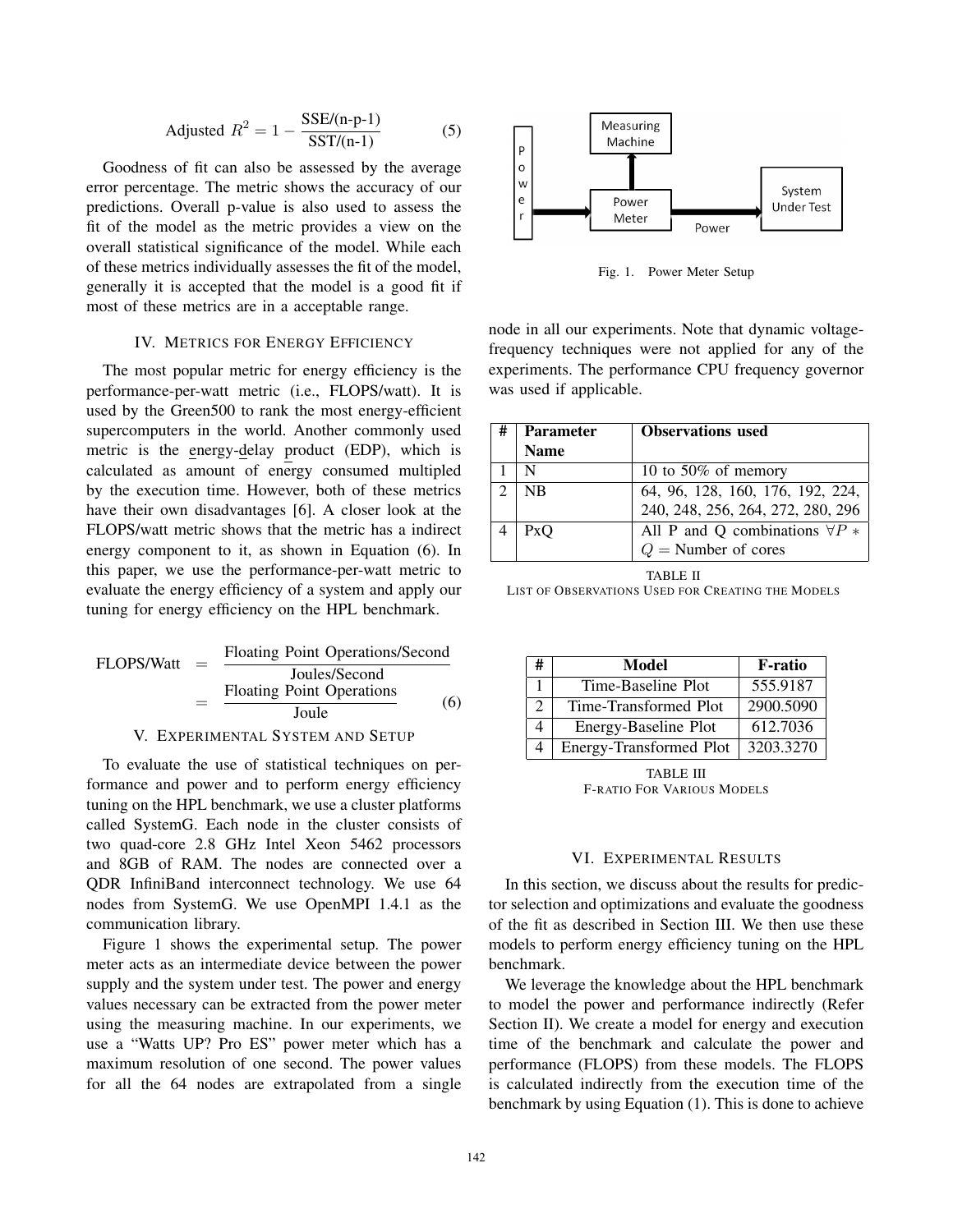Adjusted 
$$
R^2 = 1 - \frac{\text{SSE/(n-p-1)}}{\text{SST/(n-1)}}
$$

\n(5)

Goodness of fit can also be assessed by the average error percentage. The metric shows the accuracy of our predictions. Overall p-value is also used to assess the fit of the model as the metric provides a view on the overall statistical significance of the model. While each of these metrics individually assesses the fit of the model, generally it is accepted that the model is a good fit if most of these metrics are in a acceptable range.

# IV. METRICS FOR ENERGY EFFICIENCY

The most popular metric for energy efficiency is the performance-per-watt metric (i.e., FLOPS/watt). It is used by the Green500 to rank the most energy-efficient supercomputers in the world. Another commonly used metric is the energy-delay product (EDP), which is calculated as amount of energy consumed multipled by the execution time. However, both of these metrics have their own disadvantages [6]. A closer look at the FLOPS/watt metric shows that the metric has a indirect energy component to it, as shown in Equation (6). In this paper, we use the performance-per-watt metric to evaluate the energy efficiency of a system and apply our tuning for energy efficiency on the HPL benchmark.

$$
FLOPS/Watt = \frac{Floating Point Operations/SecondJoules/SecondEloating Point OperationsJoule
$$
 (6)

# V. EXPERIMENTAL SYSTEM AND SETUP

To evaluate the use of statistical techniques on performance and power and to perform energy efficiency tuning on the HPL benchmark, we use a cluster platforms called SystemG. Each node in the cluster consists of two quad-core 2.8 GHz Intel Xeon 5462 processors and 8GB of RAM. The nodes are connected over a QDR InfiniBand interconnect technology. We use 64 nodes from SystemG. We use OpenMPI 1.4.1 as the communication library.

Figure 1 shows the experimental setup. The power meter acts as an intermediate device between the power supply and the system under test. The power and energy values necessary can be extracted from the power meter using the measuring machine. In our experiments, we use a "Watts UP? Pro ES" power meter which has a maximum resolution of one second. The power values for all the 64 nodes are extrapolated from a single



Fig. 1. Power Meter Setup

node in all our experiments. Note that dynamic voltagefrequency techniques were not applied for any of the experiments. The performance CPU frequency governor was used if applicable.

| # | <b>Parameter</b> | <b>Observations</b> used                                           |
|---|------------------|--------------------------------------------------------------------|
|   | <b>Name</b>      |                                                                    |
|   | N                | 10 to 50% of memory                                                |
|   | <b>NB</b>        | 64, 96, 128, 160, 176, 192, 224, 240, 248, 256, 264, 272, 280, 296 |
|   |                  |                                                                    |
|   | PxO              | All P and Q combinations $\forall P$ *                             |
|   |                  | $Q =$ Number of cores                                              |

TABLE II LIST OF OBSERVATIONS USED FOR CREATING THE MODELS

| #              | Model                   | <b>F</b> -ratio |
|----------------|-------------------------|-----------------|
|                | Time-Baseline Plot      | 555.9187        |
| $\mathfrak{D}$ | Time-Transformed Plot   | 2900.5090       |
|                | Energy-Baseline Plot    | 612.7036        |
|                | Energy-Transformed Plot | 3203.3270       |

TABLE III F-RATIO FOR VARIOUS MODELS

#### VI. EXPERIMENTAL RESULTS

In this section, we discuss about the results for predictor selection and optimizations and evaluate the goodness of the fit as described in Section III. We then use these models to perform energy efficiency tuning on the HPL benchmark.

We leverage the knowledge about the HPL benchmark to model the power and performance indirectly (Refer Section II). We create a model for energy and execution time of the benchmark and calculate the power and performance (FLOPS) from these models. The FLOPS is calculated indirectly from the execution time of the benchmark by using Equation (1). This is done to achieve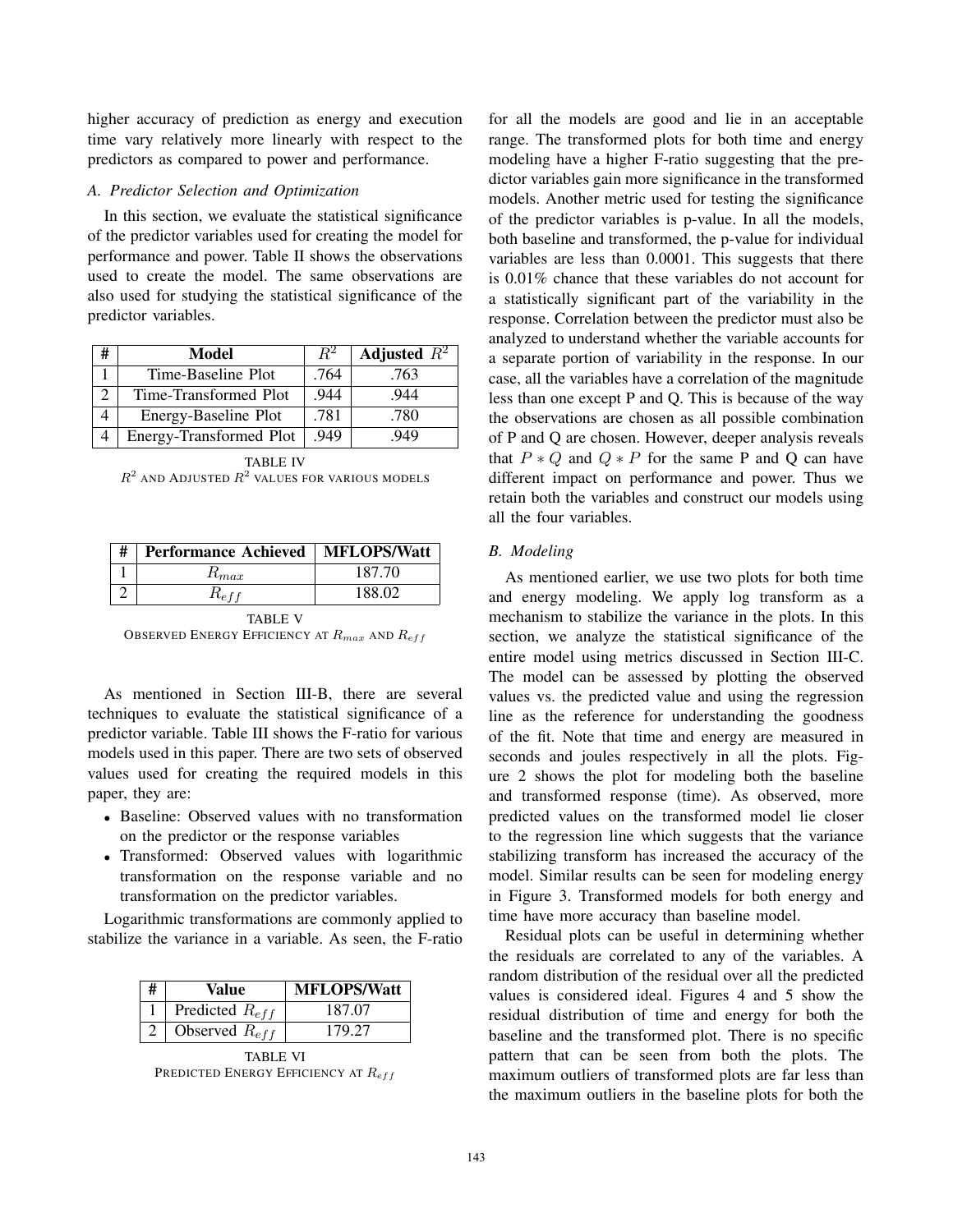higher accuracy of prediction as energy and execution time vary relatively more linearly with respect to the predictors as compared to power and performance.

## *A. Predictor Selection and Optimization*

In this section, we evaluate the statistical significance of the predictor variables used for creating the model for performance and power. Table II shows the observations used to create the model. The same observations are also used for studying the statistical significance of the predictor variables.

| Model                   | $R^2$ | Adjusted $R^2$ |
|-------------------------|-------|----------------|
| Time-Baseline Plot      | .764  | .763           |
| Time-Transformed Plot   | .944  | .944           |
| Energy-Baseline Plot    | .781  | .780           |
| Energy-Transformed Plot | .949  | .949           |

TABLE IV  $R^2$  and Adjusted  $R^2$  values for various models

| Performance Achieved   MFLOPS/Watt |        |
|------------------------------------|--------|
| $v_{max}$                          | 187.70 |
|                                    | 188.02 |

TABLE V OBSERVED ENERGY EFFICIENCY AT  $R_{max}$  and  $R_{eff}$ 

As mentioned in Section III-B, there are several techniques to evaluate the statistical significance of a predictor variable. Table III shows the F-ratio for various models used in this paper. There are two sets of observed values used for creating the required models in this paper, they are:

- Baseline: Observed values with no transformation on the predictor or the response variables
- Transformed: Observed values with logarithmic transformation on the response variable and no transformation on the predictor variables.

Logarithmic transformations are commonly applied to stabilize the variance in a variable. As seen, the F-ratio

| Value               | <b>MFLOPS/Watt</b> |
|---------------------|--------------------|
| Predicted $R_{eff}$ | 187.07             |
| Observed $R_{eff}$  | 179.27             |

TABLE VI PREDICTED ENERGY EFFICIENCY AT  $R_{eff}$ 

for all the models are good and lie in an acceptable range. The transformed plots for both time and energy modeling have a higher F-ratio suggesting that the predictor variables gain more significance in the transformed models. Another metric used for testing the significance of the predictor variables is p-value. In all the models, both baseline and transformed, the p-value for individual variables are less than 0.0001. This suggests that there is 0.01% chance that these variables do not account for a statistically significant part of the variability in the response. Correlation between the predictor must also be analyzed to understand whether the variable accounts for a separate portion of variability in the response. In our case, all the variables have a correlation of the magnitude less than one except P and Q. This is because of the way the observations are chosen as all possible combination of P and Q are chosen. However, deeper analysis reveals that  $P * Q$  and  $Q * P$  for the same P and Q can have different impact on performance and power. Thus we retain both the variables and construct our models using all the four variables.

## *B. Modeling*

As mentioned earlier, we use two plots for both time and energy modeling. We apply log transform as a mechanism to stabilize the variance in the plots. In this section, we analyze the statistical significance of the entire model using metrics discussed in Section III-C. The model can be assessed by plotting the observed values vs. the predicted value and using the regression line as the reference for understanding the goodness of the fit. Note that time and energy are measured in seconds and joules respectively in all the plots. Figure 2 shows the plot for modeling both the baseline and transformed response (time). As observed, more predicted values on the transformed model lie closer to the regression line which suggests that the variance stabilizing transform has increased the accuracy of the model. Similar results can be seen for modeling energy in Figure 3. Transformed models for both energy and time have more accuracy than baseline model.

Residual plots can be useful in determining whether the residuals are correlated to any of the variables. A random distribution of the residual over all the predicted values is considered ideal. Figures 4 and 5 show the residual distribution of time and energy for both the baseline and the transformed plot. There is no specific pattern that can be seen from both the plots. The maximum outliers of transformed plots are far less than the maximum outliers in the baseline plots for both the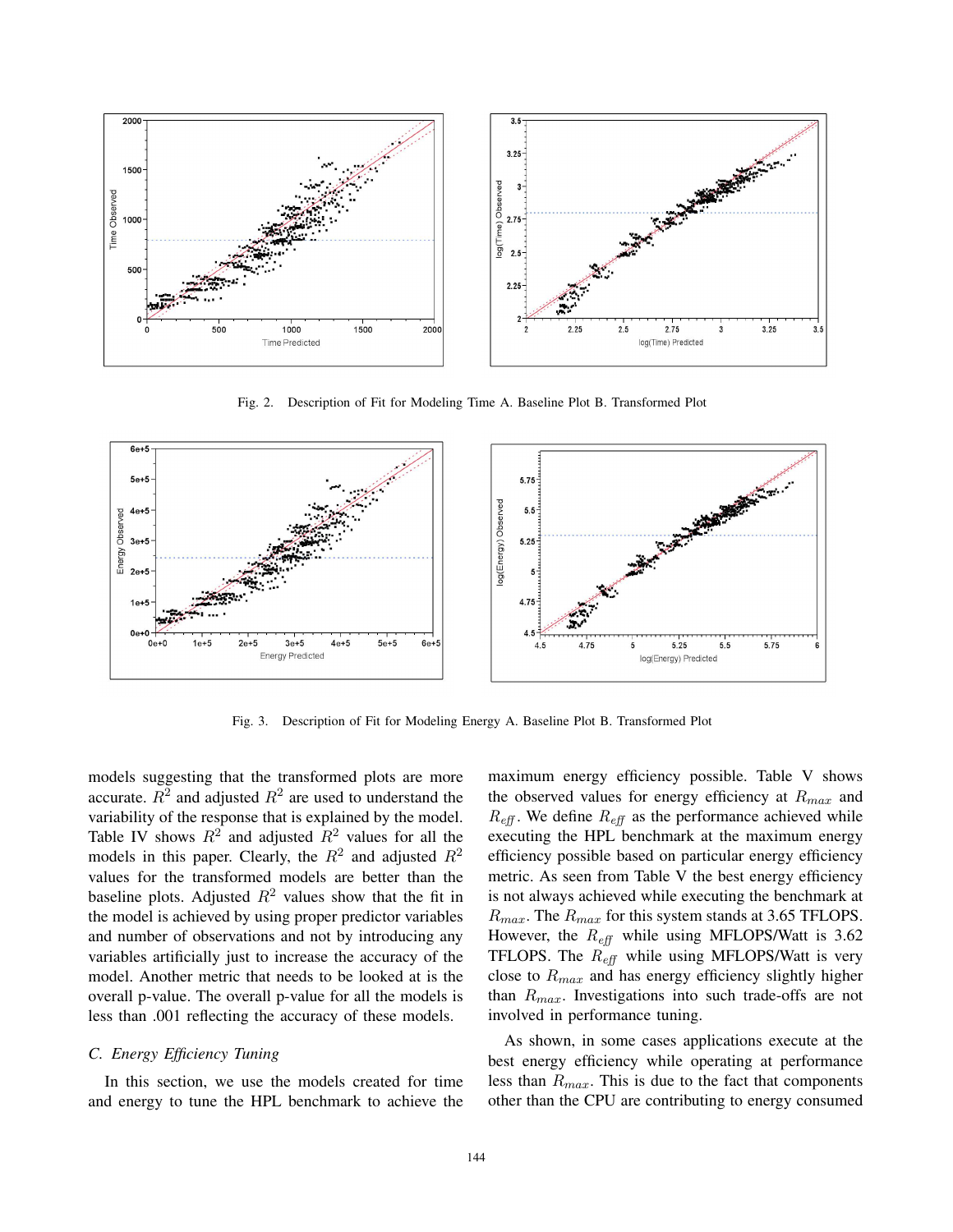

Fig. 2. Description of Fit for Modeling Time A. Baseline Plot B. Transformed Plot



Fig. 3. Description of Fit for Modeling Energy A. Baseline Plot B. Transformed Plot

models suggesting that the transformed plots are more accurate.  $R^2$  and adjusted  $R^2$  are used to understand the variability of the response that is explained by the model. Table IV shows  $R^2$  and adjusted  $R^2$  values for all the models in this paper. Clearly, the  $R^2$  and adjusted  $R^2$ values for the transformed models are better than the baseline plots. Adjusted  $R^2$  values show that the fit in the model is achieved by using proper predictor variables and number of observations and not by introducing any variables artificially just to increase the accuracy of the model. Another metric that needs to be looked at is the overall p-value. The overall p-value for all the models is less than .001 reflecting the accuracy of these models.

# *C. Energy Efficiency Tuning*

In this section, we use the models created for time and energy to tune the HPL benchmark to achieve the

maximum energy efficiency possible. Table V shows the observed values for energy efficiency at  $R_{max}$  and  $R_{\text{eff}}$ . We define  $R_{\text{eff}}$  as the performance achieved while executing the HPL benchmark at the maximum energy efficiency possible based on particular energy efficiency metric. As seen from Table V the best energy efficiency is not always achieved while executing the benchmark at  $R_{max}$ . The  $R_{max}$  for this system stands at 3.65 TFLOPS. However, the  $R_{\text{eff}}$  while using MFLOPS/Watt is 3.62 TFLOPS. The  $R_{\text{eff}}$  while using MFLOPS/Watt is very close to  $R_{max}$  and has energy efficiency slightly higher than  $R_{max}$ . Investigations into such trade-offs are not involved in performance tuning.

As shown, in some cases applications execute at the best energy efficiency while operating at performance less than  $R_{max}$ . This is due to the fact that components other than the CPU are contributing to energy consumed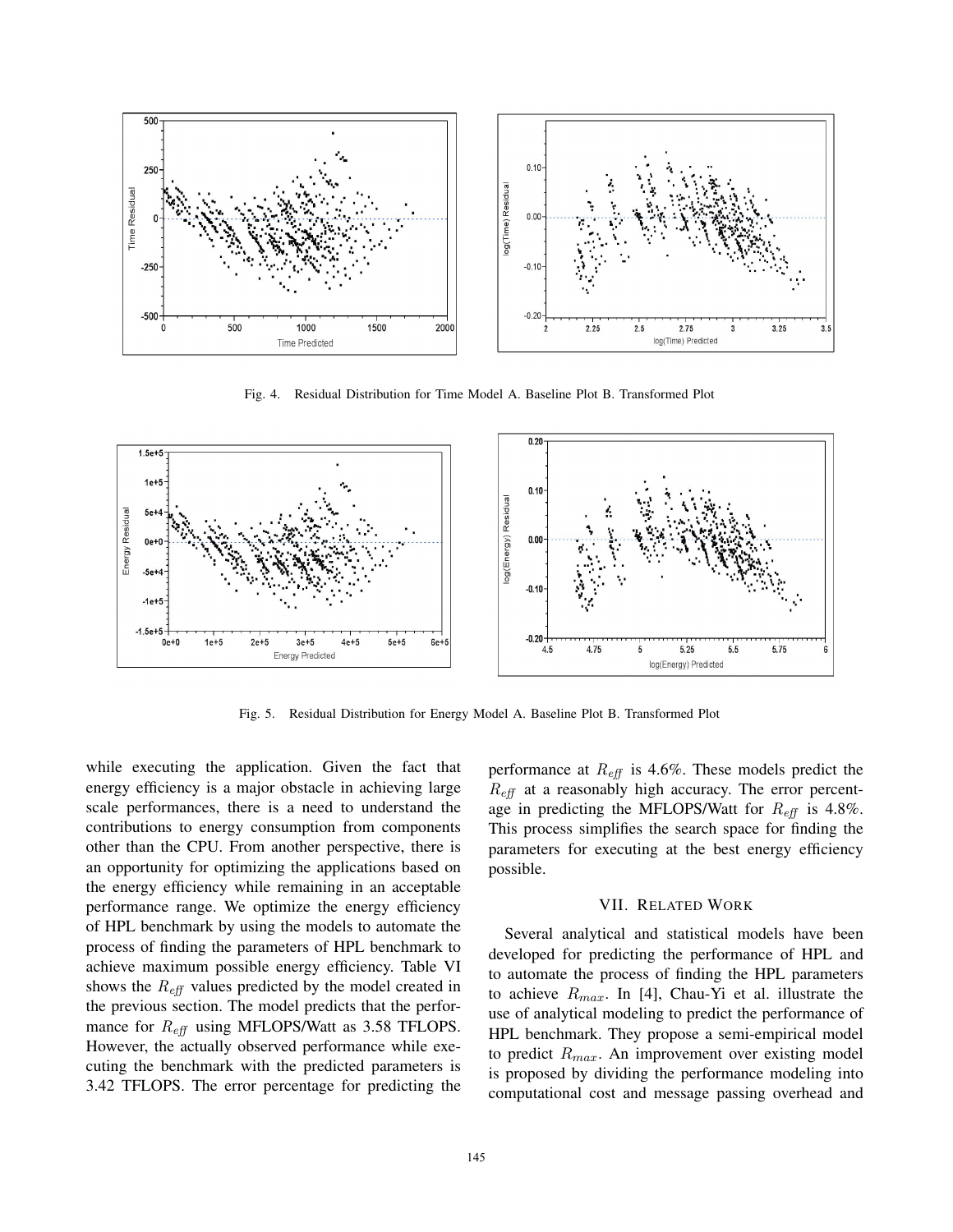

Fig. 4. Residual Distribution for Time Model A. Baseline Plot B. Transformed Plot



Fig. 5. Residual Distribution for Energy Model A. Baseline Plot B. Transformed Plot

while executing the application. Given the fact that energy efficiency is a major obstacle in achieving large scale performances, there is a need to understand the contributions to energy consumption from components other than the CPU. From another perspective, there is an opportunity for optimizing the applications based on the energy efficiency while remaining in an acceptable performance range. We optimize the energy efficiency of HPL benchmark by using the models to automate the process of finding the parameters of HPL benchmark to achieve maximum possible energy efficiency. Table VI shows the  $R_{\text{eff}}$  values predicted by the model created in the previous section. The model predicts that the performance for  $R_{\text{eff}}$  using MFLOPS/Watt as 3.58 TFLOPS. However, the actually observed performance while executing the benchmark with the predicted parameters is 3.42 TFLOPS. The error percentage for predicting the performance at  $R_{\text{eff}}$  is 4.6%. These models predict the  $R_{\text{eff}}$  at a reasonably high accuracy. The error percentage in predicting the MFLOPS/Watt for  $R_{\text{eff}}$  is 4.8%. This process simplifies the search space for finding the parameters for executing at the best energy efficiency possible.

# VII. RELATED WORK

Several analytical and statistical models have been developed for predicting the performance of HPL and to automate the process of finding the HPL parameters to achieve  $R_{max}$ . In [4], Chau-Yi et al. illustrate the use of analytical modeling to predict the performance of HPL benchmark. They propose a semi-empirical model to predict  $R_{max}$ . An improvement over existing model is proposed by dividing the performance modeling into computational cost and message passing overhead and